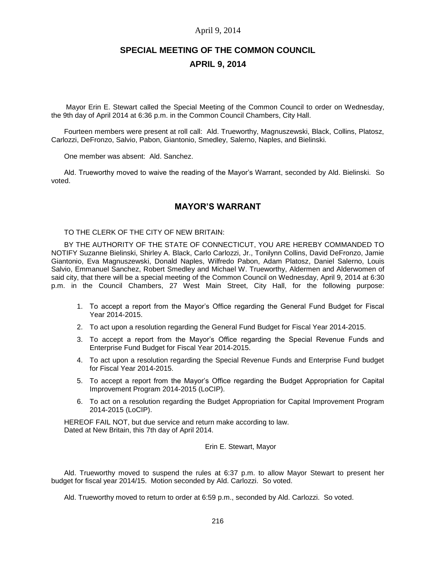# April 9, 2014

# **SPECIAL MEETING OF THE COMMON COUNCIL APRIL 9, 2014**

Mayor Erin E. Stewart called the Special Meeting of the Common Council to order on Wednesday, the 9th day of April 2014 at 6:36 p.m. in the Common Council Chambers, City Hall.

Fourteen members were present at roll call: Ald. Trueworthy, Magnuszewski, Black, Collins, Platosz, Carlozzi, DeFronzo, Salvio, Pabon, Giantonio, Smedley, Salerno, Naples, and Bielinski.

One member was absent: Ald. Sanchez.

Ald. Trueworthy moved to waive the reading of the Mayor's Warrant, seconded by Ald. Bielinski. So voted.

# **MAYOR'S WARRANT**

TO THE CLERK OF THE CITY OF NEW BRITAIN:

BY THE AUTHORITY OF THE STATE OF CONNECTICUT, YOU ARE HEREBY COMMANDED TO NOTIFY Suzanne Bielinski, Shirley A. Black, Carlo Carlozzi, Jr., Tonilynn Collins, David DeFronzo, Jamie Giantonio, Eva Magnuszewski, Donald Naples, Wilfredo Pabon, Adam Platosz, Daniel Salerno, Louis Salvio, Emmanuel Sanchez, Robert Smedley and Michael W. Trueworthy, Aldermen and Alderwomen of said city, that there will be a special meeting of the Common Council on Wednesday, April 9, 2014 at 6:30 p.m. in the Council Chambers, 27 West Main Street, City Hall, for the following purpose:

- 1. To accept a report from the Mayor's Office regarding the General Fund Budget for Fiscal Year 2014-2015.
- 2. To act upon a resolution regarding the General Fund Budget for Fiscal Year 2014-2015.
- 3. To accept a report from the Mayor's Office regarding the Special Revenue Funds and Enterprise Fund Budget for Fiscal Year 2014-2015.
- 4. To act upon a resolution regarding the Special Revenue Funds and Enterprise Fund budget for Fiscal Year 2014-2015.
- 5. To accept a report from the Mayor's Office regarding the Budget Appropriation for Capital Improvement Program 2014-2015 (LoCIP).
- 6. To act on a resolution regarding the Budget Appropriation for Capital Improvement Program 2014-2015 (LoCIP).

HEREOF FAIL NOT, but due service and return make according to law. Dated at New Britain, this 7th day of April 2014.

Erin E. Stewart, Mayor

Ald. Trueworthy moved to suspend the rules at 6:37 p.m. to allow Mayor Stewart to present her budget for fiscal year 2014/15. Motion seconded by Ald. Carlozzi. So voted.

Ald. Trueworthy moved to return to order at 6:59 p.m., seconded by Ald. Carlozzi. So voted.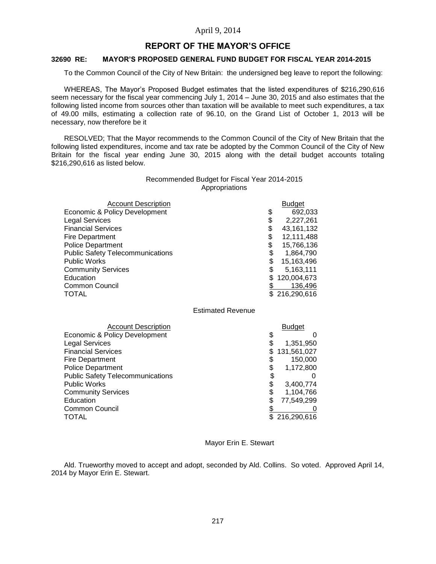# April 9, 2014

# **REPORT OF THE MAYOR'S OFFICE**

# **32690 RE: MAYOR'S PROPOSED GENERAL FUND BUDGET FOR FISCAL YEAR 2014-2015**

To the Common Council of the City of New Britain: the undersigned beg leave to report the following:

WHEREAS, The Mayor's Proposed Budget estimates that the listed expenditures of \$216,290,616 seem necessary for the fiscal year commencing July 1, 2014 – June 30, 2015 and also estimates that the following listed income from sources other than taxation will be available to meet such expenditures, a tax of 49.00 mills, estimating a collection rate of 96.10, on the Grand List of October 1, 2013 will be necessary, now therefore be it

RESOLVED; That the Mayor recommends to the Common Council of the City of New Britain that the following listed expenditures, income and tax rate be adopted by the Common Council of the City of New Britain for the fiscal year ending June 30, 2015 along with the detail budget accounts totaling \$216,290,616 as listed below.

### Recommended Budget for Fiscal Year 2014-2015 Appropriations

| <b>Account Description</b>              | <b>Budget</b>    |
|-----------------------------------------|------------------|
| Economic & Policy Development           | \$<br>692,033    |
| <b>Legal Services</b>                   | \$<br>2,227,261  |
| <b>Financial Services</b>               | \$<br>43,161,132 |
| Fire Department                         | \$<br>12,111,488 |
| <b>Police Department</b>                | \$<br>15,766,136 |
| <b>Public Safety Telecommunications</b> | 1,864,790        |
| <b>Public Works</b>                     | 15,163,496       |
| <b>Community Services</b>               | 5,163,111        |
| Education                               | 120,004,673      |
| <b>Common Council</b>                   | 136,496          |
| TOTAL                                   | \$216,290,616    |

Estimated Revenue

| <b>Account Description</b>              |     | <b>Budget</b> |
|-----------------------------------------|-----|---------------|
| Economic & Policy Development           |     | ∩             |
| <b>Legal Services</b>                   |     | 1,351,950     |
| <b>Financial Services</b>               | \$. | 131,561,027   |
| <b>Fire Department</b>                  |     | 150,000       |
| <b>Police Department</b>                |     | 1,172,800     |
| <b>Public Safety Telecommunications</b> |     |               |
| <b>Public Works</b>                     |     | 3,400,774     |
| <b>Community Services</b>               |     | 1,104,766     |
| Education                               |     | 77,549,299    |
| <b>Common Council</b>                   |     | 0             |
| <b>TOTAL</b>                            |     | \$216,290,616 |

#### Mayor Erin E. Stewart

Ald. Trueworthy moved to accept and adopt, seconded by Ald. Collins. So voted. Approved April 14, 2014 by Mayor Erin E. Stewart.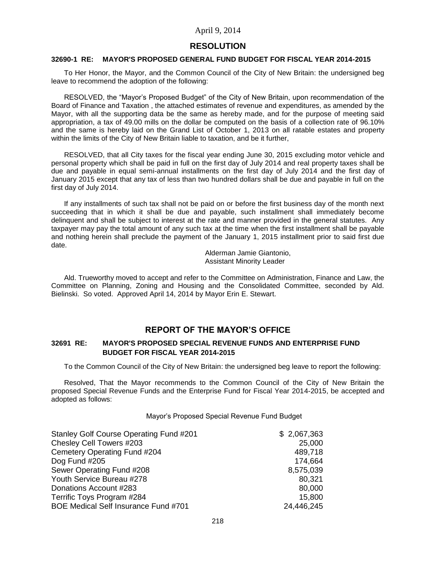# **RESOLUTION**

### **32690-1 RE: MAYOR'S PROPOSED GENERAL FUND BUDGET FOR FISCAL YEAR 2014-2015**

To Her Honor, the Mayor, and the Common Council of the City of New Britain: the undersigned beg leave to recommend the adoption of the following:

RESOLVED, the "Mayor's Proposed Budget" of the City of New Britain, upon recommendation of the Board of Finance and Taxation , the attached estimates of revenue and expenditures, as amended by the Mayor, with all the supporting data be the same as hereby made, and for the purpose of meeting said appropriation, a tax of 49.00 mills on the dollar be computed on the basis of a collection rate of 96.10% and the same is hereby laid on the Grand List of October 1, 2013 on all ratable estates and property within the limits of the City of New Britain liable to taxation, and be it further,

RESOLVED, that all City taxes for the fiscal year ending June 30, 2015 excluding motor vehicle and personal property which shall be paid in full on the first day of July 2014 and real property taxes shall be due and payable in equal semi-annual installments on the first day of July 2014 and the first day of January 2015 except that any tax of less than two hundred dollars shall be due and payable in full on the first day of July 2014.

If any installments of such tax shall not be paid on or before the first business day of the month next succeeding that in which it shall be due and payable, such installment shall immediately become delinquent and shall be subject to interest at the rate and manner provided in the general statutes. Any taxpayer may pay the total amount of any such tax at the time when the first installment shall be payable and nothing herein shall preclude the payment of the January 1, 2015 installment prior to said first due date.

> Alderman Jamie Giantonio, Assistant Minority Leader

Ald. Trueworthy moved to accept and refer to the Committee on Administration, Finance and Law, the Committee on Planning, Zoning and Housing and the Consolidated Committee, seconded by Ald. Bielinski. So voted. Approved April 14, 2014 by Mayor Erin E. Stewart.

# **REPORT OF THE MAYOR'S OFFICE**

### **32691 RE: MAYOR'S PROPOSED SPECIAL REVENUE FUNDS AND ENTERPRISE FUND BUDGET FOR FISCAL YEAR 2014-2015**

To the Common Council of the City of New Britain: the undersigned beg leave to report the following:

Resolved, That the Mayor recommends to the Common Council of the City of New Britain the proposed Special Revenue Funds and the Enterprise Fund for Fiscal Year 2014-2015, be accepted and adopted as follows:

#### Mayor's Proposed Special Revenue Fund Budget

| Stanley Golf Course Operating Fund #201 | \$2,067,363 |
|-----------------------------------------|-------------|
| Chesley Cell Towers #203                | 25,000      |
| Cemetery Operating Fund #204            | 489,718     |
| Dog Fund #205                           | 174,664     |
| Sewer Operating Fund #208               | 8,575,039   |
| Youth Service Bureau #278               | 80.321      |
| Donations Account #283                  | 80,000      |
| Terrific Toys Program #284              | 15,800      |
| BOE Medical Self Insurance Fund #701    | 24,446,245  |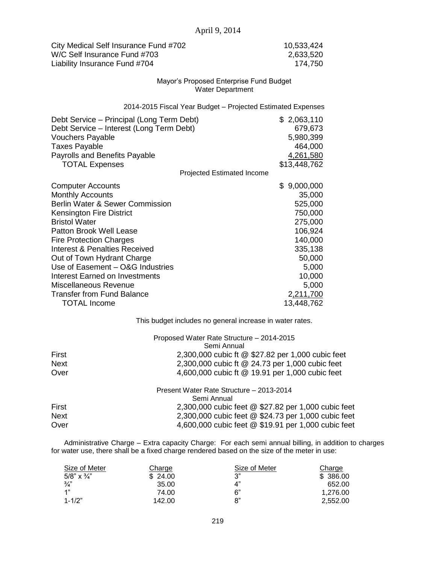| City Medical Self Insurance Fund #702 | 10,533,424 |
|---------------------------------------|------------|
| W/C Self Insurance Fund #703          | 2,633,520  |
| Liability Insurance Fund #704         | 174.750    |

#### Mayor's Proposed Enterprise Fund Budget Water Department

2014-2015 Fiscal Year Budget – Projected Estimated Expenses

| Debt Service – Principal (Long Term Debt) | \$2,063,110      |
|-------------------------------------------|------------------|
| Debt Service – Interest (Long Term Debt)  | 679,673          |
| <b>Vouchers Payable</b>                   | 5,980,399        |
| <b>Taxes Payable</b>                      | 464,000          |
| <b>Payrolls and Benefits Payable</b>      | 4,261,580        |
| <b>TOTAL Expenses</b>                     | \$13,448,762     |
| Projected Estimated Income                |                  |
| <b>Computer Accounts</b>                  | 9,000,000<br>\$. |
| <b>Monthly Accounts</b>                   | 35,000           |
| Berlin Water & Sewer Commission           | 525,000          |
| <b>Kensington Fire District</b>           | 750,000          |
| <b>Bristol Water</b>                      | 275,000          |
| Patton Brook Well Lease                   | 106,924          |
| <b>Fire Protection Charges</b>            | 140,000          |
| <b>Interest &amp; Penalties Received</b>  | 335,138          |
| Out of Town Hydrant Charge                | 50,000           |
| Use of Easement - O&G Industries          | 5,000            |
| Interest Earned on Investments            | 10,000           |
| Miscellaneous Revenue                     | 5,000            |
| <b>Transfer from Fund Balance</b>         | 2,211,700        |
| <b>TOTAL Income</b>                       | 13,448,762       |

This budget includes no general increase in water rates.

|             | Proposed Water Rate Structure - 2014-2015           |
|-------------|-----------------------------------------------------|
|             | Semi Annual                                         |
| First       | 2,300,000 cubic ft @ \$27.82 per 1,000 cubic feet   |
| <b>Next</b> | 2,300,000 cubic ft @ 24.73 per 1,000 cubic feet     |
| Over        | 4,600,000 cubic ft @ 19.91 per 1,000 cubic feet     |
|             | Present Water Rate Structure - 2013-2014            |
|             | Semi Annual                                         |
| First       | 2,300,000 cubic feet @ \$27.82 per 1,000 cubic feet |
| <b>Next</b> | 2,300,000 cubic feet @ \$24.73 per 1,000 cubic feet |
| Over        | 4,600,000 cubic feet @ \$19.91 per 1,000 cubic feet |

Administrative Charge – Extra capacity Charge: For each semi annual billing, in addition to charges for water use, there shall be a fixed charge rendered based on the size of the meter in use:

| Size of Meter      | Charge  | Size of Meter | Charge   |
|--------------------|---------|---------------|----------|
| 5/8" $\times$ 3/4" | \$24.00 | ^2"           | \$386.00 |
| $\frac{3}{4}$      | 35.00   | 4"            | 652.00   |
| 1"                 | 74.00   | 6"            | 1.276.00 |
| $1 - 1/2"$         | 142.00  | 8"            | 2.552.00 |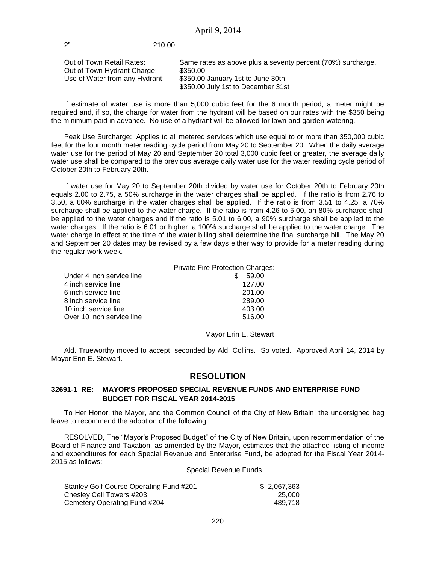# 2" 210.00

| Out of Town Retail Rates:      | Same rates as above plus a seventy percent (70%) surcharge. |
|--------------------------------|-------------------------------------------------------------|
| Out of Town Hydrant Charge:    | \$350.00                                                    |
| Use of Water from any Hydrant: | \$350.00 January 1st to June 30th                           |
|                                | \$350.00 July 1st to December 31st                          |

If estimate of water use is more than 5,000 cubic feet for the 6 month period, a meter might be required and, if so, the charge for water from the hydrant will be based on our rates with the \$350 being the minimum paid in advance. No use of a hydrant will be allowed for lawn and garden watering.

Peak Use Surcharge: Applies to all metered services which use equal to or more than 350,000 cubic feet for the four month meter reading cycle period from May 20 to September 20. When the daily average water use for the period of May 20 and September 20 total 3,000 cubic feet or greater, the average daily water use shall be compared to the previous average daily water use for the water reading cycle period of October 20th to February 20th.

If water use for May 20 to September 20th divided by water use for October 20th to February 20th equals 2.00 to 2.75, a 50% surcharge in the water charges shall be applied. If the ratio is from 2.76 to 3.50, a 60% surcharge in the water charges shall be applied. If the ratio is from 3.51 to 4.25, a 70% surcharge shall be applied to the water charge. If the ratio is from 4.26 to 5.00, an 80% surcharge shall be applied to the water charges and if the ratio is 5.01 to 6.00, a 90% surcharge shall be applied to the water charges. If the ratio is 6.01 or higher, a 100% surcharge shall be applied to the water charge. The water charge in effect at the time of the water billing shall determine the final surcharge bill. The May 20 and September 20 dates may be revised by a few days either way to provide for a meter reading during the regular work week.

|                           | Private Fire Protection Charges: |
|---------------------------|----------------------------------|
| Under 4 inch service line | 59.00                            |
| 4 inch service line       | 127.00                           |
| 6 inch service line       | 201.00                           |
| 8 inch service line       | 289.00                           |
| 10 inch service line      | 403.00                           |
| Over 10 inch service line | 516.00                           |
|                           |                                  |

#### Mayor Erin E. Stewart

Ald. Trueworthy moved to accept, seconded by Ald. Collins. So voted. Approved April 14, 2014 by Mayor Erin E. Stewart.

# **RESOLUTION**

# **32691-1 RE: MAYOR'S PROPOSED SPECIAL REVENUE FUNDS AND ENTERPRISE FUND BUDGET FOR FISCAL YEAR 2014-2015**

To Her Honor, the Mayor, and the Common Council of the City of New Britain: the undersigned beg leave to recommend the adoption of the following:

RESOLVED, The "Mayor's Proposed Budget" of the City of New Britain, upon recommendation of the Board of Finance and Taxation, as amended by the Mayor, estimates that the attached listing of income and expenditures for each Special Revenue and Enterprise Fund, be adopted for the Fiscal Year 2014- 2015 as follows:

### Special Revenue Funds

| Stanley Golf Course Operating Fund #201 | \$2,067,363 |
|-----------------------------------------|-------------|
| Chesley Cell Towers #203                | 25.000      |
| Cemetery Operating Fund #204            | 489.718     |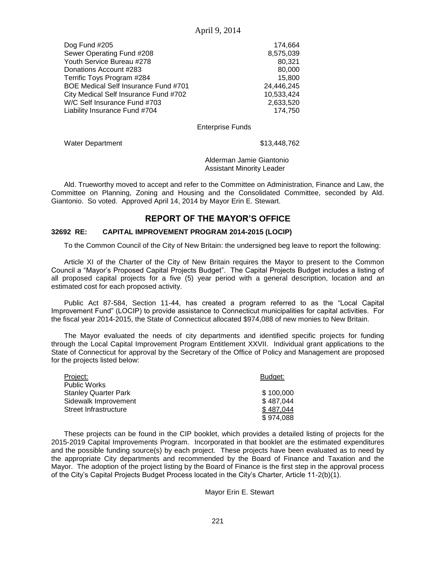| 174.664    |
|------------|
| 8,575,039  |
| 80.321     |
| 80,000     |
| 15.800     |
| 24,446,245 |
| 10,533,424 |
| 2,633,520  |
| 174.750    |
|            |

# Enterprise Funds

Water Department  $$13,448,762$ 

Alderman Jamie Giantonio Assistant Minority Leader

Ald. Trueworthy moved to accept and refer to the Committee on Administration, Finance and Law, the Committee on Planning, Zoning and Housing and the Consolidated Committee, seconded by Ald. Giantonio. So voted. Approved April 14, 2014 by Mayor Erin E. Stewart.

# **REPORT OF THE MAYOR'S OFFICE**

### **32692 RE: CAPITAL IMPROVEMENT PROGRAM 2014-2015 (LOCIP)**

To the Common Council of the City of New Britain: the undersigned beg leave to report the following:

Article XI of the Charter of the City of New Britain requires the Mayor to present to the Common Council a "Mayor's Proposed Capital Projects Budget". The Capital Projects Budget includes a listing of all proposed capital projects for a five (5) year period with a general description, location and an estimated cost for each proposed activity.

Public Act 87-584, Section 11-44, has created a program referred to as the "Local Capital Improvement Fund" (LOCIP) to provide assistance to Connecticut municipalities for capital activities. For the fiscal year 2014-2015, the State of Connecticut allocated \$974,088 of new monies to New Britain.

The Mayor evaluated the needs of city departments and identified specific projects for funding through the Local Capital Improvement Program Entitlement XXVII. Individual grant applications to the State of Connecticut for approval by the Secretary of the Office of Policy and Management are proposed for the projects listed below:

| Project:              | Budget:   |
|-----------------------|-----------|
| Public Works          |           |
| Stanley Quarter Park  | \$100,000 |
| Sidewalk Improvement  | \$487,044 |
| Street Infrastructure | \$487.044 |
|                       | \$974,088 |

These projects can be found in the CIP booklet, which provides a detailed listing of projects for the 2015-2019 Capital Improvements Program. Incorporated in that booklet are the estimated expenditures and the possible funding source(s) by each project. These projects have been evaluated as to need by the appropriate City departments and recommended by the Board of Finance and Taxation and the Mayor. The adoption of the project listing by the Board of Finance is the first step in the approval process of the City's Capital Projects Budget Process located in the City's Charter, Article 11-2(b)(1).

Mayor Erin E. Stewart